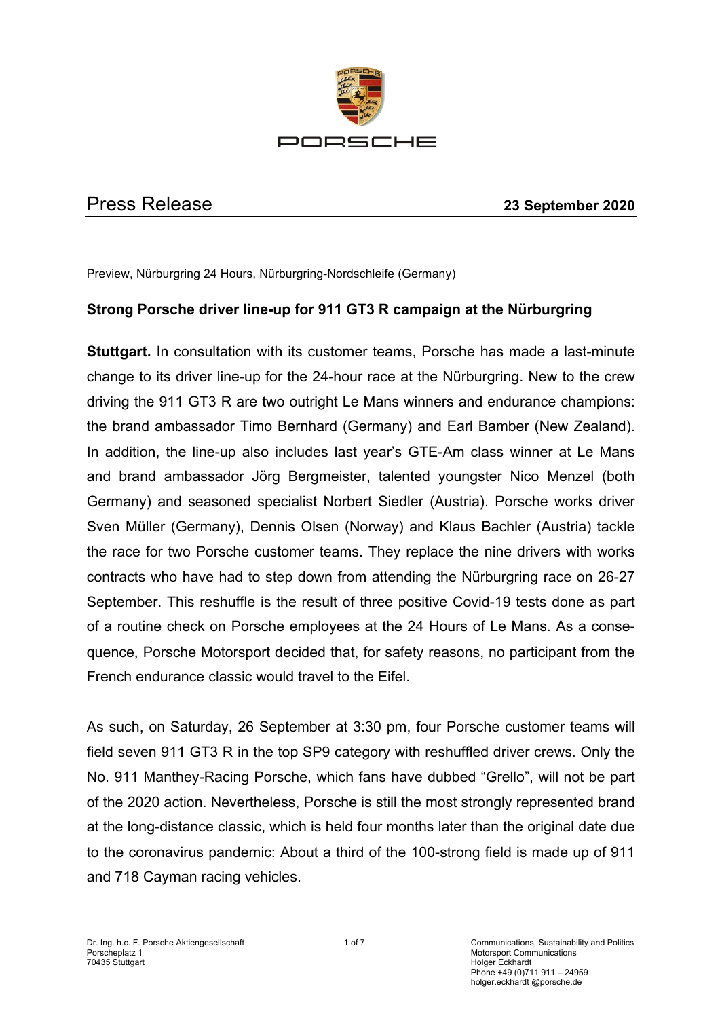

#### Press Release **23 September 2020**

Preview, Nürburgring 24 Hours, Nürburgring-Nordschleife (Germany)

## **Strong Porsche driver line-up for 911 GT3 R campaign at the Nürburgring**

**Stuttgart.** In consultation with its customer teams, Porsche has made a last-minute change to its driver line-up for the 24-hour race at the Nürburgring. New to the crew driving the 911 GT3 R are two outright Le Mans winners and endurance champions: the brand ambassador Timo Bernhard (Germany) and Earl Bamber (New Zealand). In addition, the line-up also includes last year's GTE-Am class winner at Le Mans and brand ambassador Jörg Bergmeister, talented youngster Nico Menzel (both Germany) and seasoned specialist Norbert Siedler (Austria). Porsche works driver Sven Müller (Germany), Dennis Olsen (Norway) and Klaus Bachler (Austria) tackle the race for two Porsche customer teams. They replace the nine drivers with works contracts who have had to step down from attending the Nürburgring race on 26-27 September. This reshuffle is the result of three positive Covid-19 tests done as part of a routine check on Porsche employees at the 24 Hours of Le Mans. As a consequence, Porsche Motorsport decided that, for safety reasons, no participant from the French endurance classic would travel to the Eifel.

As such, on Saturday, 26 September at 3:30 pm, four Porsche customer teams will field seven 911 GT3 R in the top SP9 category with reshuffled driver crews. Only the No. 911 Manthey-Racing Porsche, which fans have dubbed "Grello", will not be part of the 2020 action. Nevertheless, Porsche is still the most strongly represented brand at the long-distance classic, which is held four months later than the original date due to the coronavirus pandemic: About a third of the 100-strong field is made up of 911 and 718 Cayman racing vehicles.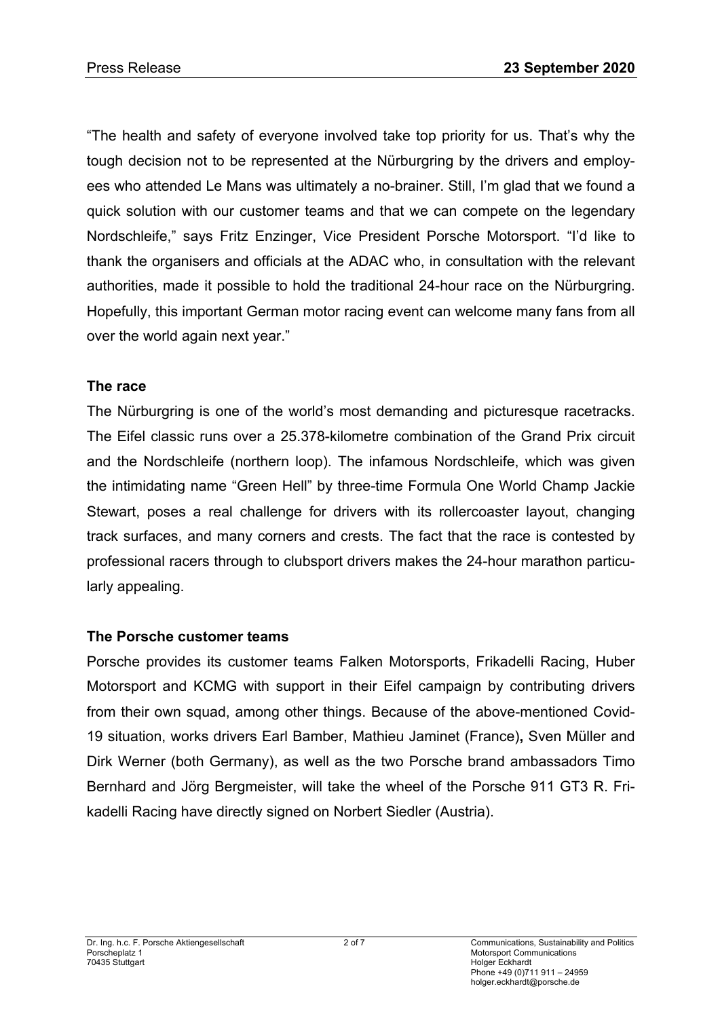"The health and safety of everyone involved take top priority for us. That's why the tough decision not to be represented at the Nürburgring by the drivers and employees who attended Le Mans was ultimately a no-brainer. Still, I'm glad that we found a quick solution with our customer teams and that we can compete on the legendary Nordschleife," says Fritz Enzinger, Vice President Porsche Motorsport. "I'd like to thank the organisers and officials at the ADAC who, in consultation with the relevant authorities, made it possible to hold the traditional 24-hour race on the Nürburgring. Hopefully, this important German motor racing event can welcome many fans from all over the world again next year."

#### **The race**

The Nürburgring is one of the world's most demanding and picturesque racetracks. The Eifel classic runs over a 25.378-kilometre combination of the Grand Prix circuit and the Nordschleife (northern loop). The infamous Nordschleife, which was given the intimidating name "Green Hell" by three-time Formula One World Champ Jackie Stewart, poses a real challenge for drivers with its rollercoaster layout, changing track surfaces, and many corners and crests. The fact that the race is contested by professional racers through to clubsport drivers makes the 24-hour marathon particularly appealing.

## **The Porsche customer teams**

Porsche provides its customer teams Falken Motorsports, Frikadelli Racing, Huber Motorsport and KCMG with support in their Eifel campaign by contributing drivers from their own squad, among other things. Because of the above-mentioned Covid-19 situation, works drivers Earl Bamber, Mathieu Jaminet (France)**,** Sven Müller and Dirk Werner (both Germany), as well as the two Porsche brand ambassadors Timo Bernhard and Jörg Bergmeister, will take the wheel of the Porsche 911 GT3 R. Frikadelli Racing have directly signed on Norbert Siedler (Austria).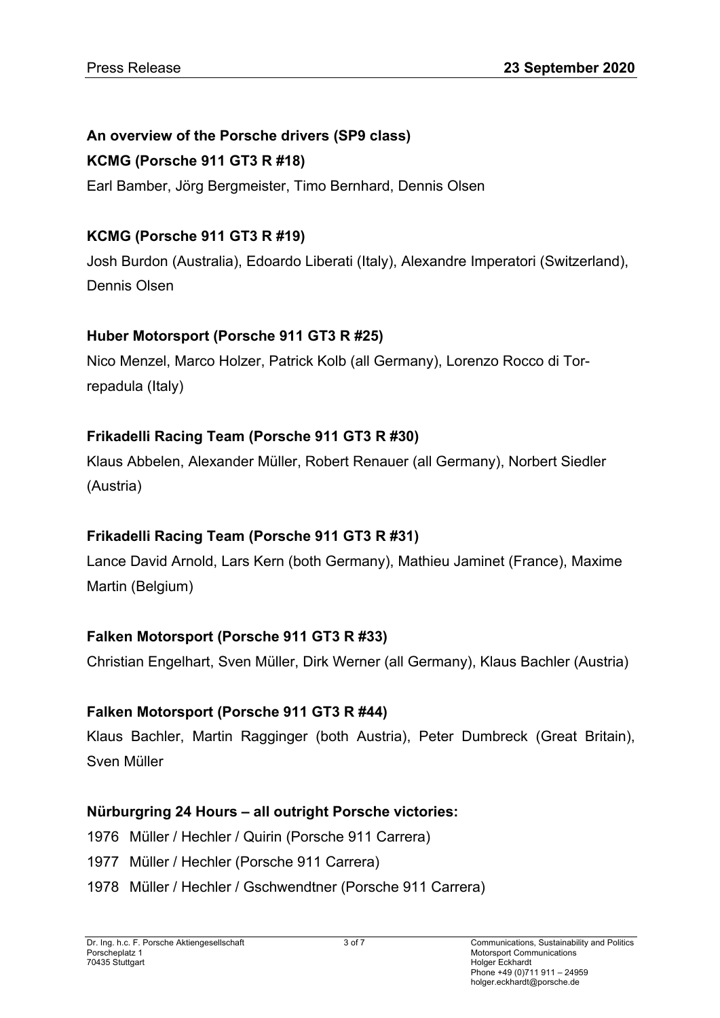# **An overview of the Porsche drivers (SP9 class)**

## **KCMG (Porsche 911 GT3 R #18)**

Earl Bamber, Jörg Bergmeister, Timo Bernhard, Dennis Olsen

## **KCMG (Porsche 911 GT3 R #19)**

Josh Burdon (Australia), Edoardo Liberati (Italy), Alexandre Imperatori (Switzerland), Dennis Olsen

## **Huber Motorsport (Porsche 911 GT3 R #25)**

Nico Menzel, Marco Holzer, Patrick Kolb (all Germany), Lorenzo Rocco di Torrepadula (Italy)

# **Frikadelli Racing Team (Porsche 911 GT3 R #30)**

Klaus Abbelen, Alexander Müller, Robert Renauer (all Germany), Norbert Siedler (Austria)

# **Frikadelli Racing Team (Porsche 911 GT3 R #31)**

Lance David Arnold, Lars Kern (both Germany), Mathieu Jaminet (France), Maxime Martin (Belgium)

## **Falken Motorsport (Porsche 911 GT3 R #33)**

Christian Engelhart, Sven Müller, Dirk Werner (all Germany), Klaus Bachler (Austria)

## **Falken Motorsport (Porsche 911 GT3 R #44)**

Klaus Bachler, Martin Ragginger (both Austria), Peter Dumbreck (Great Britain), Sven Müller

## **Nürburgring 24 Hours – all outright Porsche victories:**

- 1976 Müller / Hechler / Quirin (Porsche 911 Carrera)
- 1977 Müller / Hechler (Porsche 911 Carrera)
- 1978 Müller / Hechler / Gschwendtner (Porsche 911 Carrera)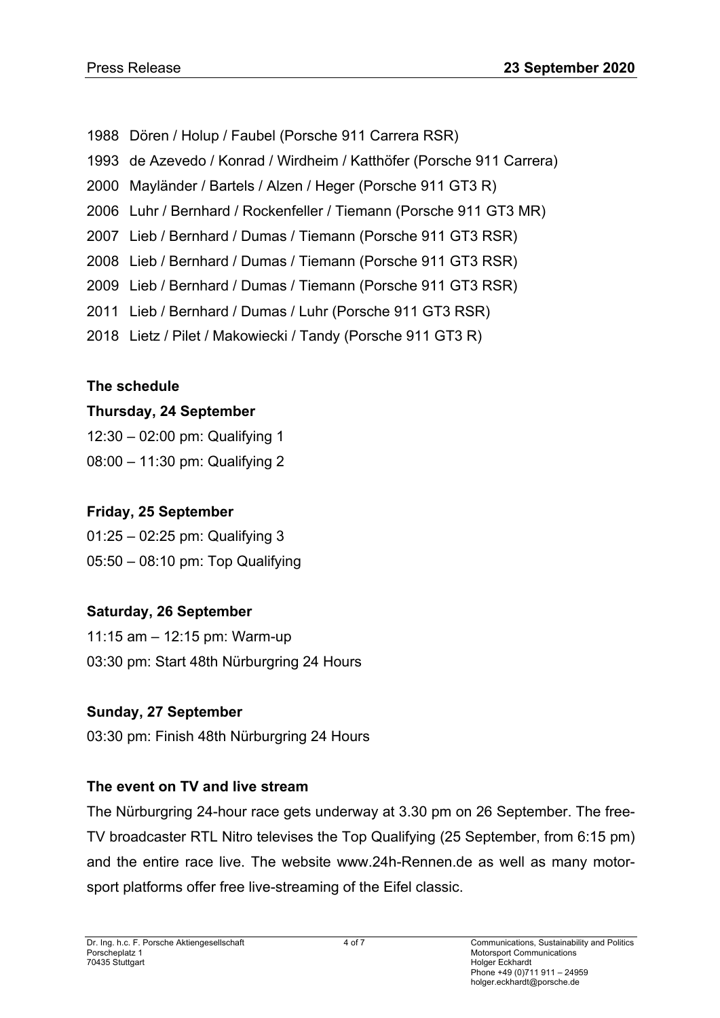1988 Dören / Holup / Faubel (Porsche 911 Carrera RSR) 1993 de Azevedo / Konrad / Wirdheim / Katthöfer (Porsche 911 Carrera) 2000 Mayländer / Bartels / Alzen / Heger (Porsche 911 GT3 R) 2006 Luhr / Bernhard / Rockenfeller / Tiemann (Porsche 911 GT3 MR) 2007 Lieb / Bernhard / Dumas / Tiemann (Porsche 911 GT3 RSR) 2008 Lieb / Bernhard / Dumas / Tiemann (Porsche 911 GT3 RSR) 2009 Lieb / Bernhard / Dumas / Tiemann (Porsche 911 GT3 RSR) 2011 Lieb / Bernhard / Dumas / Luhr (Porsche 911 GT3 RSR) 2018 Lietz / Pilet / Makowiecki / Tandy (Porsche 911 GT3 R)

## **The schedule**

## **Thursday, 24 September**

12:30 – 02:00 pm: Qualifying 1

08:00 – 11:30 pm: Qualifying 2

## **Friday, 25 September**

01:25 – 02:25 pm: Qualifying 3 05:50 – 08:10 pm: Top Qualifying

## **Saturday, 26 September**

11:15 am – 12:15 pm: Warm-up 03:30 pm: Start 48th Nürburgring 24 Hours

## **Sunday, 27 September**

03:30 pm: Finish 48th Nürburgring 24 Hours

## **The event on TV and live stream**

The Nürburgring 24-hour race gets underway at 3.30 pm on 26 September. The free-TV broadcaster RTL Nitro televises the Top Qualifying (25 September, from 6:15 pm) and the entire race live. The website www.24h-Rennen.de as well as many motorsport platforms offer free live-streaming of the Eifel classic.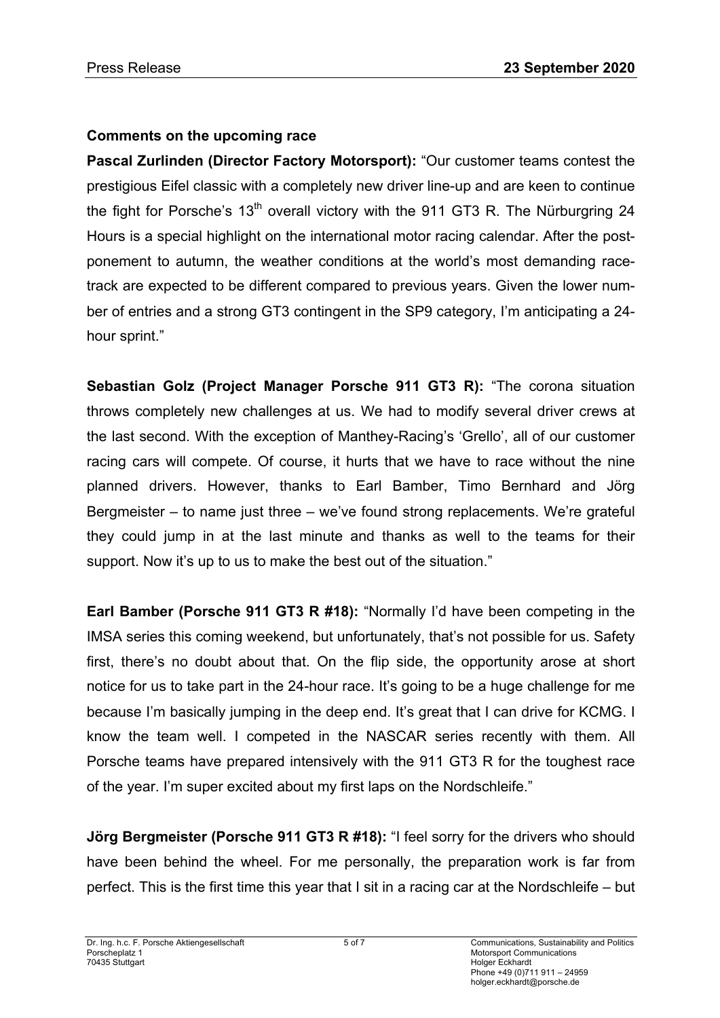## **Comments on the upcoming race**

**Pascal Zurlinden (Director Factory Motorsport):** "Our customer teams contest the prestigious Eifel classic with a completely new driver line-up and are keen to continue the fight for Porsche's  $13<sup>th</sup>$  overall victory with the 911 GT3 R. The Nürburgring 24 Hours is a special highlight on the international motor racing calendar. After the postponement to autumn, the weather conditions at the world's most demanding racetrack are expected to be different compared to previous years. Given the lower number of entries and a strong GT3 contingent in the SP9 category, I'm anticipating a 24 hour sprint."

**Sebastian Golz (Project Manager Porsche 911 GT3 R):** "The corona situation throws completely new challenges at us. We had to modify several driver crews at the last second. With the exception of Manthey-Racing's 'Grello', all of our customer racing cars will compete. Of course, it hurts that we have to race without the nine planned drivers. However, thanks to Earl Bamber, Timo Bernhard and Jörg Bergmeister – to name just three – we've found strong replacements. We're grateful they could jump in at the last minute and thanks as well to the teams for their support. Now it's up to us to make the best out of the situation."

**Earl Bamber (Porsche 911 GT3 R #18):** "Normally I'd have been competing in the IMSA series this coming weekend, but unfortunately, that's not possible for us. Safety first, there's no doubt about that. On the flip side, the opportunity arose at short notice for us to take part in the 24-hour race. It's going to be a huge challenge for me because I'm basically jumping in the deep end. It's great that I can drive for KCMG. I know the team well. I competed in the NASCAR series recently with them. All Porsche teams have prepared intensively with the 911 GT3 R for the toughest race of the year. I'm super excited about my first laps on the Nordschleife."

**Jörg Bergmeister (Porsche 911 GT3 R #18):** "I feel sorry for the drivers who should have been behind the wheel. For me personally, the preparation work is far from perfect. This is the first time this year that I sit in a racing car at the Nordschleife – but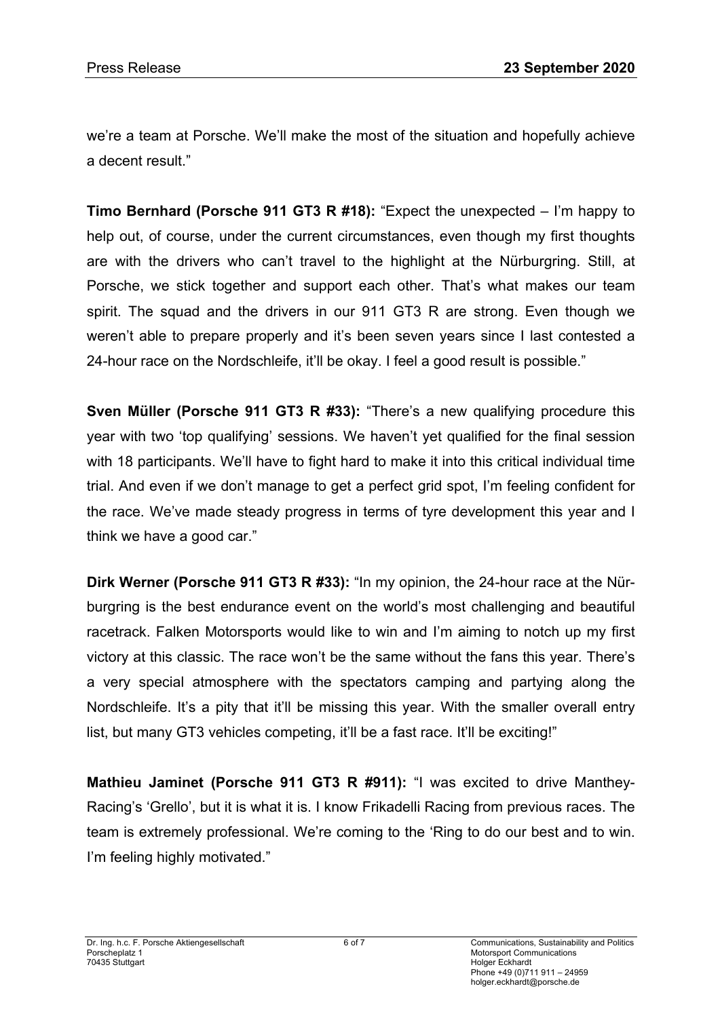we're a team at Porsche. We'll make the most of the situation and hopefully achieve a decent result."

**Timo Bernhard (Porsche 911 GT3 R #18):** "Expect the unexpected – I'm happy to help out, of course, under the current circumstances, even though my first thoughts are with the drivers who can't travel to the highlight at the Nürburgring. Still, at Porsche, we stick together and support each other. That's what makes our team spirit. The squad and the drivers in our 911 GT3 R are strong. Even though we weren't able to prepare properly and it's been seven years since I last contested a 24-hour race on the Nordschleife, it'll be okay. I feel a good result is possible."

**Sven Müller (Porsche 911 GT3 R #33):** "There's a new qualifying procedure this year with two 'top qualifying' sessions. We haven't yet qualified for the final session with 18 participants. We'll have to fight hard to make it into this critical individual time trial. And even if we don't manage to get a perfect grid spot, I'm feeling confident for the race. We've made steady progress in terms of tyre development this year and I think we have a good car."

**Dirk Werner (Porsche 911 GT3 R #33):** "In my opinion, the 24-hour race at the Nürburgring is the best endurance event on the world's most challenging and beautiful racetrack. Falken Motorsports would like to win and I'm aiming to notch up my first victory at this classic. The race won't be the same without the fans this year. There's a very special atmosphere with the spectators camping and partying along the Nordschleife. It's a pity that it'll be missing this year. With the smaller overall entry list, but many GT3 vehicles competing, it'll be a fast race. It'll be exciting!"

**Mathieu Jaminet (Porsche 911 GT3 R #911):** "I was excited to drive Manthey-Racing's 'Grello', but it is what it is. I know Frikadelli Racing from previous races. The team is extremely professional. We're coming to the 'Ring to do our best and to win. I'm feeling highly motivated."